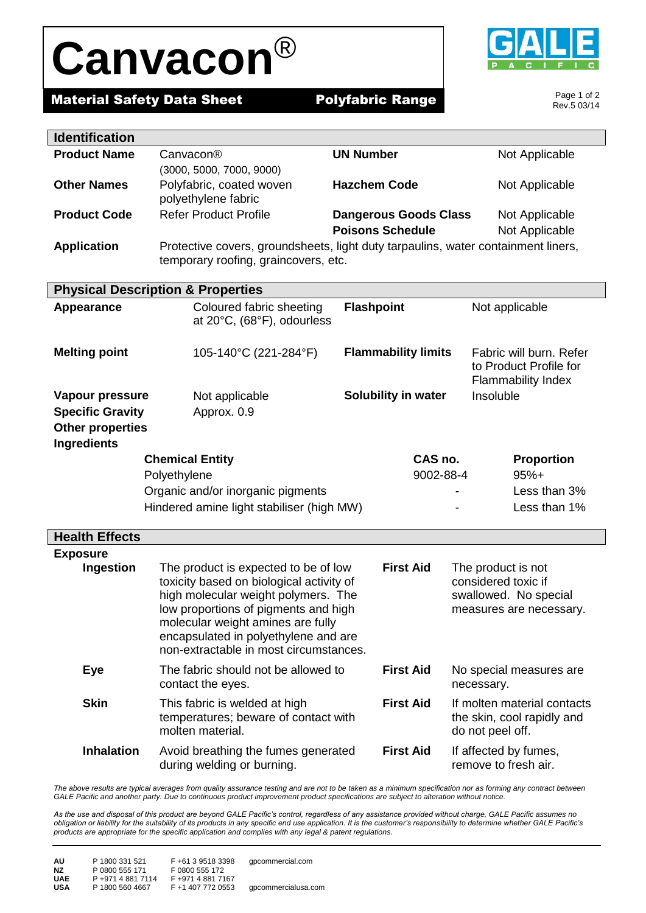## **Canvacon**®

**Material Safety Data Sheet Polyfabric Range** 



Page 1 of 2 Rev.5 03/14

| <b>Identification</b>                                                                       |                                                                                                                                                                                                                                                                                        |                              |                                                                                               |
|---------------------------------------------------------------------------------------------|----------------------------------------------------------------------------------------------------------------------------------------------------------------------------------------------------------------------------------------------------------------------------------------|------------------------------|-----------------------------------------------------------------------------------------------|
| <b>Product Name</b>                                                                         | Canvacon <sup>®</sup>                                                                                                                                                                                                                                                                  | <b>UN Number</b>             | Not Applicable                                                                                |
|                                                                                             | (3000, 5000, 7000, 9000)                                                                                                                                                                                                                                                               |                              |                                                                                               |
| <b>Other Names</b>                                                                          | Polyfabric, coated woven<br>polyethylene fabric                                                                                                                                                                                                                                        | <b>Hazchem Code</b>          | Not Applicable                                                                                |
| <b>Product Code</b>                                                                         | <b>Refer Product Profile</b>                                                                                                                                                                                                                                                           | <b>Dangerous Goods Class</b> | Not Applicable                                                                                |
|                                                                                             |                                                                                                                                                                                                                                                                                        | <b>Poisons Schedule</b>      | Not Applicable                                                                                |
| <b>Application</b>                                                                          | Protective covers, groundsheets, light duty tarpaulins, water containment liners,<br>temporary roofing, graincovers, etc.                                                                                                                                                              |                              |                                                                                               |
|                                                                                             | <b>Physical Description &amp; Properties</b>                                                                                                                                                                                                                                           |                              |                                                                                               |
| Appearance                                                                                  | Coloured fabric sheeting<br>at 20°C, (68°F), odourless                                                                                                                                                                                                                                 | <b>Flashpoint</b>            | Not applicable                                                                                |
| <b>Melting point</b>                                                                        | 105-140°C (221-284°F)                                                                                                                                                                                                                                                                  | <b>Flammability limits</b>   | Fabric will burn. Refer<br>to Product Profile for<br><b>Flammability Index</b>                |
| Vapour pressure<br><b>Specific Gravity</b><br><b>Other properties</b><br><b>Ingredients</b> | Not applicable<br>Approx. 0.9                                                                                                                                                                                                                                                          | Solubility in water          | Insoluble                                                                                     |
|                                                                                             | <b>Chemical Entity</b>                                                                                                                                                                                                                                                                 | CAS no.                      | <b>Proportion</b>                                                                             |
|                                                                                             | Polyethylene                                                                                                                                                                                                                                                                           | 9002-88-4                    | $95%+$                                                                                        |
|                                                                                             | Organic and/or inorganic pigments                                                                                                                                                                                                                                                      |                              | Less than 3%                                                                                  |
|                                                                                             | Hindered amine light stabiliser (high MW)                                                                                                                                                                                                                                              |                              | Less than 1%                                                                                  |
|                                                                                             |                                                                                                                                                                                                                                                                                        |                              |                                                                                               |
| <b>Health Effects</b>                                                                       |                                                                                                                                                                                                                                                                                        |                              |                                                                                               |
| <b>Exposure</b>                                                                             |                                                                                                                                                                                                                                                                                        |                              |                                                                                               |
| Ingestion                                                                                   | The product is expected to be of low<br>toxicity based on biological activity of<br>high molecular weight polymers. The<br>low proportions of pigments and high<br>molecular weight amines are fully<br>encapsulated in polyethylene and are<br>non-extractable in most circumstances. | <b>First Aid</b>             | The product is not<br>considered toxic if<br>swallowed. No special<br>measures are necessary. |
| Eye                                                                                         | The fabric should not be allowed to<br>contact the eyes.                                                                                                                                                                                                                               | <b>First Aid</b>             | No special measures are<br>necessary.                                                         |
| <b>Skin</b>                                                                                 | This fabric is welded at high<br>temperatures; beware of contact with<br>molten material.                                                                                                                                                                                              | <b>First Aid</b>             | If molten material contacts<br>the skin, cool rapidly and<br>do not peel off.                 |

**Inhalation** Avoid breathing the fumes generated during welding or burning. **First Aid** If affected by fumes, remove to fresh air.

The above results are typical averages from quality assurance testing and are not to be taken as a minimum specification nor as forming any contract between *GALE Pacific and another party. Due to continuous product improvement product specifications are subject to alteration without notice.*

*As the use and disposal of this product are beyond GALE Pacific's control, regardless of any assistance provided without charge, GALE Pacific assumes no obligation or liability for the suitability of its products in any specific end use application. It is the customer's responsibility to determine whether GALE Pacific's products are appropriate for the specific application and complies with any legal & patent regulations.*

| AU         | P 1800 331 521    | F+61 3 9518 3398  | qpcommercial.com    |
|------------|-------------------|-------------------|---------------------|
| ΝZ         | P 0800 555 171    | F 0800 555 172    |                     |
| <b>UAE</b> | P +971 4 881 7114 | F +971 4 881 7167 |                     |
| USA        | P 1800 560 4667   | F +1 407 772 0553 | gpcommercialusa.com |